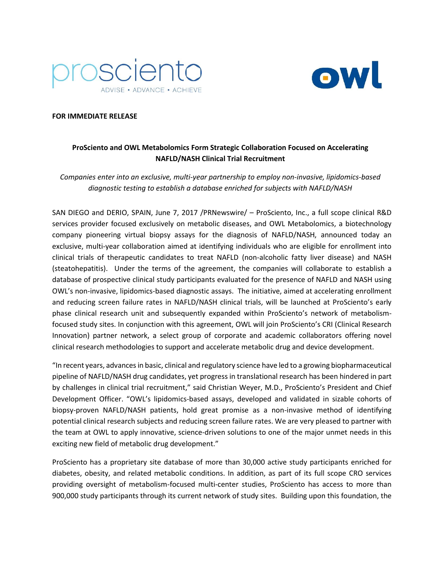



## **FOR IMMEDIATE RELEASE**

# **ProSciento and OWL Metabolomics Form Strategic Collaboration Focused on Accelerating NAFLD/NASH Clinical Trial Recruitment**

*Companies enter into an exclusive, multi-year partnership to employ non-invasive, lipidomics-based diagnostic testing to establish a database enriched for subjects with NAFLD/NASH*

SAN DIEGO and DERIO, SPAIN, June 7, 2017 /PRNewswire/ – ProSciento, Inc., a full scope clinical R&D services provider focused exclusively on metabolic diseases, and OWL Metabolomics, a biotechnology company pioneering virtual biopsy assays for the diagnosis of NAFLD/NASH, announced today an exclusive, multi-year collaboration aimed at identifying individuals who are eligible for enrollment into clinical trials of therapeutic candidates to treat NAFLD (non-alcoholic fatty liver disease) and NASH (steatohepatitis). Under the terms of the agreement, the companies will collaborate to establish a database of prospective clinical study participants evaluated for the presence of NAFLD and NASH using OWL's non-invasive, lipidomics-based diagnostic assays. The initiative, aimed at accelerating enrollment and reducing screen failure rates in NAFLD/NASH clinical trials, will be launched at ProSciento's early phase clinical research unit and subsequently expanded within ProSciento's network of metabolismfocused study sites. In conjunction with this agreement, OWL will join ProSciento's CRI (Clinical Research Innovation) partner network, a select group of corporate and academic collaborators offering novel clinical research methodologies to support and accelerate metabolic drug and device development.

"In recent years, advances in basic, clinical and regulatory science have led to a growing biopharmaceutical pipeline of NAFLD/NASH drug candidates, yet progress in translational research has been hindered in part by challenges in clinical trial recruitment," said Christian Weyer, M.D., ProSciento's President and Chief Development Officer. "OWL's lipidomics-based assays, developed and validated in sizable cohorts of biopsy-proven NAFLD/NASH patients, hold great promise as a non-invasive method of identifying potential clinical research subjects and reducing screen failure rates. We are very pleased to partner with the team at OWL to apply innovative, science-driven solutions to one of the major unmet needs in this exciting new field of metabolic drug development."

ProSciento has a proprietary site database of more than 30,000 active study participants enriched for diabetes, obesity, and related metabolic conditions. In addition, as part of its full scope CRO services providing oversight of metabolism-focused multi-center studies, ProSciento has access to more than 900,000 study participants through its current network of study sites. Building upon this foundation, the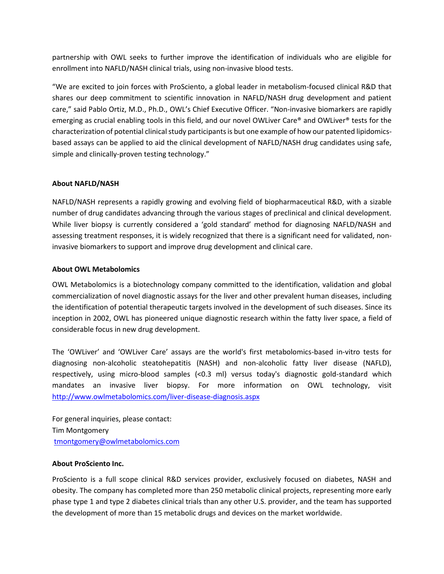partnership with OWL seeks to further improve the identification of individuals who are eligible for enrollment into NAFLD/NASH clinical trials, using non-invasive blood tests.

"We are excited to join forces with ProSciento, a global leader in metabolism-focused clinical R&D that shares our deep commitment to scientific innovation in NAFLD/NASH drug development and patient care," said Pablo Ortiz, M.D., Ph.D., OWL's Chief Executive Officer. "Non-invasive biomarkers are rapidly emerging as crucial enabling tools in this field, and our novel OWLiver Care® and OWLiver® tests for the characterization of potential clinical study participants is but one example of how our patented lipidomicsbased assays can be applied to aid the clinical development of NAFLD/NASH drug candidates using safe, simple and clinically-proven testing technology."

### **About NAFLD/NASH**

NAFLD/NASH represents a rapidly growing and evolving field of biopharmaceutical R&D, with a sizable number of drug candidates advancing through the various stages of preclinical and clinical development. While liver biopsy is currently considered a 'gold standard' method for diagnosing NAFLD/NASH and assessing treatment responses, it is widely recognized that there is a significant need for validated, noninvasive biomarkers to support and improve drug development and clinical care.

### **About OWL Metabolomics**

OWL Metabolomics is a biotechnology company committed to the identification, validation and global commercialization of novel diagnostic assays for the liver and other prevalent human diseases, including the identification of potential therapeutic targets involved in the development of such diseases. Since its inception in 2002, OWL has pioneered unique diagnostic research within the fatty liver space, a field of considerable focus in new drug development.

The 'OWLiver' and 'OWLiver Care' assays are the world's first metabolomics-based in-vitro tests for diagnosing non-alcoholic steatohepatitis (NASH) and non-alcoholic fatty liver disease (NAFLD), respectively, using micro-blood samples (<0.3 ml) versus today's diagnostic gold-standard which mandates an invasive liver biopsy. For more information on OWL technology, visit <http://www.owlmetabolomics.com/liver-disease-diagnosis.aspx>

For general inquiries, please contact: Tim Montgomery [tmontgomery@owlmetabolomics.com](mailto:tmontgomery@owlmetabolomics.com)

### **About ProSciento Inc.**

ProSciento is a full scope clinical R&D services provider, exclusively focused on diabetes, NASH and obesity. The company has completed more than 250 metabolic clinical projects, representing more early phase type 1 and type 2 diabetes clinical trials than any other U.S. provider, and the team has supported the development of more than 15 metabolic drugs and devices on the market worldwide.